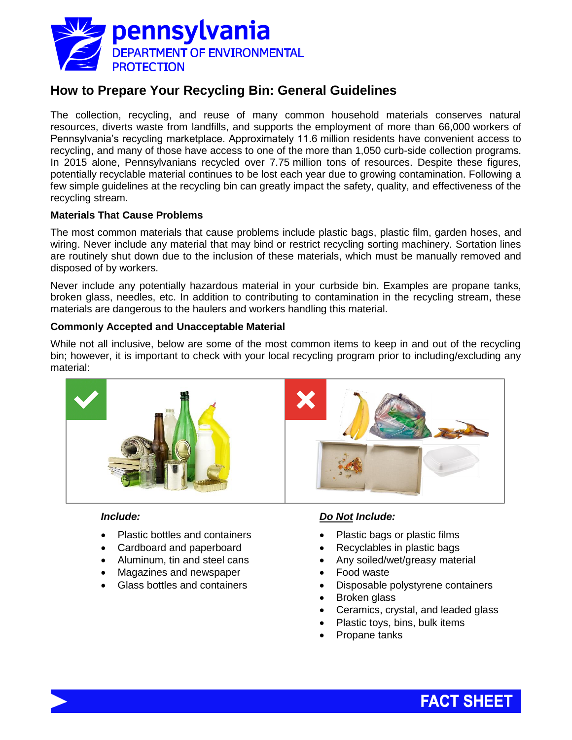

# **How to Prepare Your Recycling Bin: General Guidelines**

The collection, recycling, and reuse of many common household materials conserves natural resources, diverts waste from landfills, and supports the employment of more than 66,000 workers of Pennsylvania's recycling marketplace. Approximately 11.6 million residents have convenient access to recycling, and many of those have access to one of the more than 1,050 curb-side collection programs. In 2015 alone, Pennsylvanians recycled over 7.75 million tons of resources. Despite these figures, potentially recyclable material continues to be lost each year due to growing contamination. Following a few simple guidelines at the recycling bin can greatly impact the safety, quality, and effectiveness of the recycling stream.

## **Materials That Cause Problems**

The most common materials that cause problems include plastic bags, plastic film, garden hoses, and wiring. Never include any material that may bind or restrict recycling sorting machinery. Sortation lines are routinely shut down due to the inclusion of these materials, which must be manually removed and disposed of by workers.

Never include any potentially hazardous material in your curbside bin. Examples are propane tanks, broken glass, needles, etc. In addition to contributing to contamination in the recycling stream, these materials are dangerous to the haulers and workers handling this material.

## **Commonly Accepted and Unacceptable Material**

While not all inclusive, below are some of the most common items to keep in and out of the recycling bin; however, it is important to check with your local recycling program prior to including/excluding any material:



#### *Include:*

- Plastic bottles and containers
- Cardboard and paperboard
- Aluminum, tin and steel cans
- Magazines and newspaper
- Glass bottles and containers

#### *Do Not Include:*

- Plastic bags or plastic films
- Recyclables in plastic bags
- Any soiled/wet/greasy material
- Food waste
- Disposable polystyrene containers
- Broken glass
- Ceramics, crystal, and leaded glass
- Plastic toys, bins, bulk items
- Propane tanks